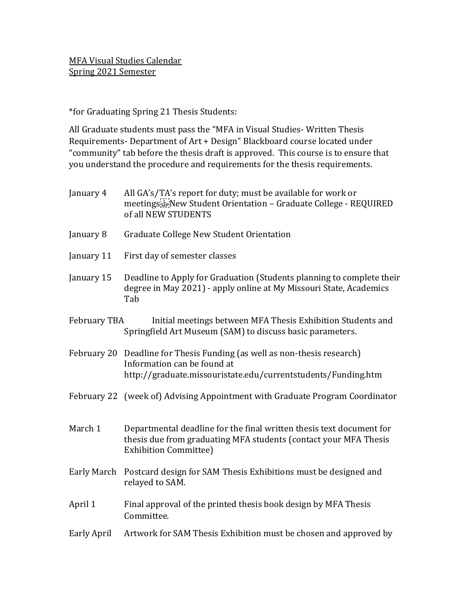\*for Graduating Spring 21 Thesis Students:

All Graduate students must pass the "MFA in Visual Studies- Written Thesis Requirements- Department of Art + Design" Blackboard course located under "community" tab before the thesis draft is approved. This course is to ensure that you understand the procedure and requirements for the thesis requirements.

- January 4 All GA's/TA's report for duty; must be available for work or meetings New Student Orientation – Graduate College - REQUIRED of all NEW STUDENTS
- January 8 Graduate College New Student Orientation
- January 11 First day of semester classes
- January 15 Deadline to Apply for Graduation (Students planning to complete their degree in May 2021) - apply online at My Missouri State, Academics Tab
- February TBA Initial meetings between MFA Thesis Exhibition Students and Springfield Art Museum (SAM) to discuss basic parameters.
- February 20 Deadline for Thesis Funding (as well as non-thesis research) Information can be found at http://graduate.missouristate.edu/currentstudents/Funding.htm
- February 22 (week of) Advising Appointment with Graduate Program Coordinator
- March 1 Departmental deadline for the final written thesis text document for thesis due from graduating MFA students (contact your MFA Thesis Exhibition Committee)
- Early March Postcard design for SAM Thesis Exhibitions must be designed and relayed to SAM.
- April 1 Final approval of the printed thesis book design by MFA Thesis Committee.
- Early April Artwork for SAM Thesis Exhibition must be chosen and approved by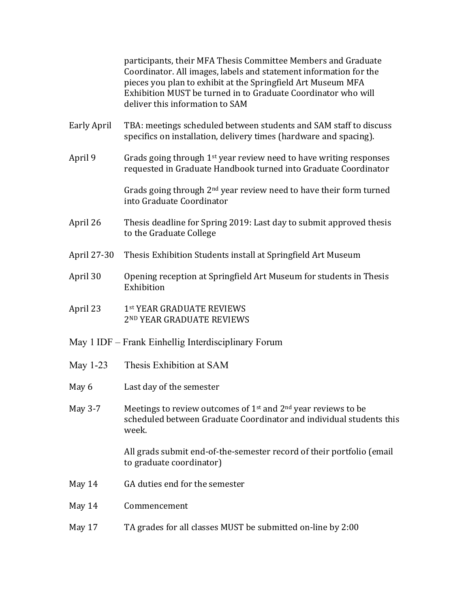participants, their MFA Thesis Committee Members and Graduate Coordinator. All images, labels and statement information for the pieces you plan to exhibit at the Springfield Art Museum MFA Exhibition MUST be turned in to Graduate Coordinator who will deliver this information to SAM

- Early April TBA: meetings scheduled between students and SAM staff to discuss specifics on installation, delivery times (hardware and spacing).
- April 9 Grads going through  $1<sup>st</sup>$  year review need to have writing responses requested in Graduate Handbook turned into Graduate Coordinator

Grads going through  $2<sup>nd</sup>$  year review need to have their form turned into Graduate Coordinator

- April 26 Thesis deadline for Spring 2019: Last day to submit approved thesis to the Graduate College
- April 27-30 Thesis Exhibition Students install at Springfield Art Museum
- April 30 Opening reception at Springfield Art Museum for students in Thesis Exhibition
- April 23 1st YEAR GRADUATE REVIEWS 2ND YEAR GRADUATE REVIEWS
- May 1 IDF Frank Einhellig Interdisciplinary Forum
- May 1-23 Thesis Exhibition at SAM
- May 6 Last day of the semester
- May 3-7 Meetings to review outcomes of  $1<sup>st</sup>$  and  $2<sup>nd</sup>$  year reviews to be scheduled between Graduate Coordinator and individual students this week.

All grads submit end-of-the-semester record of their portfolio (email to graduate coordinator)

- May 14 GA duties end for the semester
- May 14 Commencement
- May 17 TA grades for all classes MUST be submitted on-line by 2:00